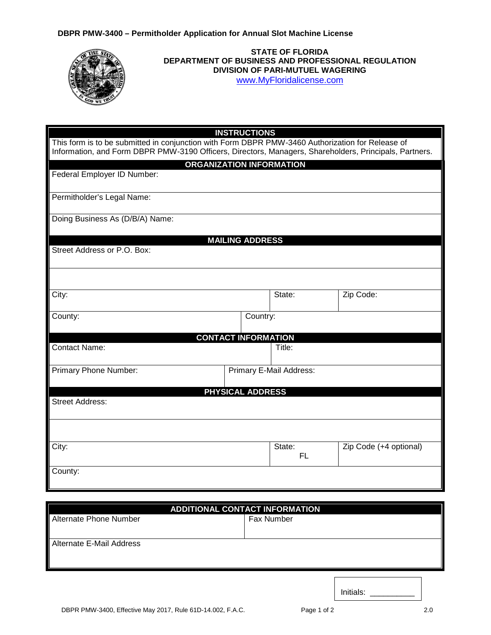

## **STATE OF FLORIDA DEPARTMENT OF BUSINESS AND PROFESSIONAL REGULATION DIVISION OF PARI-MUTUEL WAGERING** [www.MyFloridalicense.com](http://www.myfloridalicense.com/)

|                                                                                                                                                                                                            | <b>INSTRUCTIONS</b>     |              |                        |  |
|------------------------------------------------------------------------------------------------------------------------------------------------------------------------------------------------------------|-------------------------|--------------|------------------------|--|
| This form is to be submitted in conjunction with Form DBPR PMW-3460 Authorization for Release of<br>Information, and Form DBPR PMW-3190 Officers, Directors, Managers, Shareholders, Principals, Partners. |                         |              |                        |  |
| <b>ORGANIZATION INFORMATION</b>                                                                                                                                                                            |                         |              |                        |  |
| Federal Employer ID Number:                                                                                                                                                                                |                         |              |                        |  |
| Permitholder's Legal Name:                                                                                                                                                                                 |                         |              |                        |  |
| Doing Business As (D/B/A) Name:                                                                                                                                                                            |                         |              |                        |  |
|                                                                                                                                                                                                            | <b>MAILING ADDRESS</b>  |              |                        |  |
| Street Address or P.O. Box:                                                                                                                                                                                |                         |              |                        |  |
|                                                                                                                                                                                                            |                         |              |                        |  |
| City:                                                                                                                                                                                                      |                         | State:       | Zip Code:              |  |
| County:                                                                                                                                                                                                    | Country:                |              |                        |  |
| <b>CONTACT INFORMATION</b>                                                                                                                                                                                 |                         |              |                        |  |
| <b>Contact Name:</b>                                                                                                                                                                                       |                         | Title:       |                        |  |
| Primary Phone Number:                                                                                                                                                                                      | Primary E-Mail Address: |              |                        |  |
|                                                                                                                                                                                                            | <b>PHYSICAL ADDRESS</b> |              |                        |  |
| <b>Street Address:</b>                                                                                                                                                                                     |                         |              |                        |  |
|                                                                                                                                                                                                            |                         |              |                        |  |
| City:                                                                                                                                                                                                      |                         | State:<br>FL | Zip Code (+4 optional) |  |
| County:                                                                                                                                                                                                    |                         |              |                        |  |

| <b>ADDITIONAL CONTACT INFORMATION</b> |            |  |  |
|---------------------------------------|------------|--|--|
| Alternate Phone Number                | Fax Number |  |  |
| Alternate E-Mail Address              |            |  |  |

DBPR PMW-3400, Effective May 2017, Rule 61D-14.002, F.A.C. Page 1 of 2 2.0

Initials: